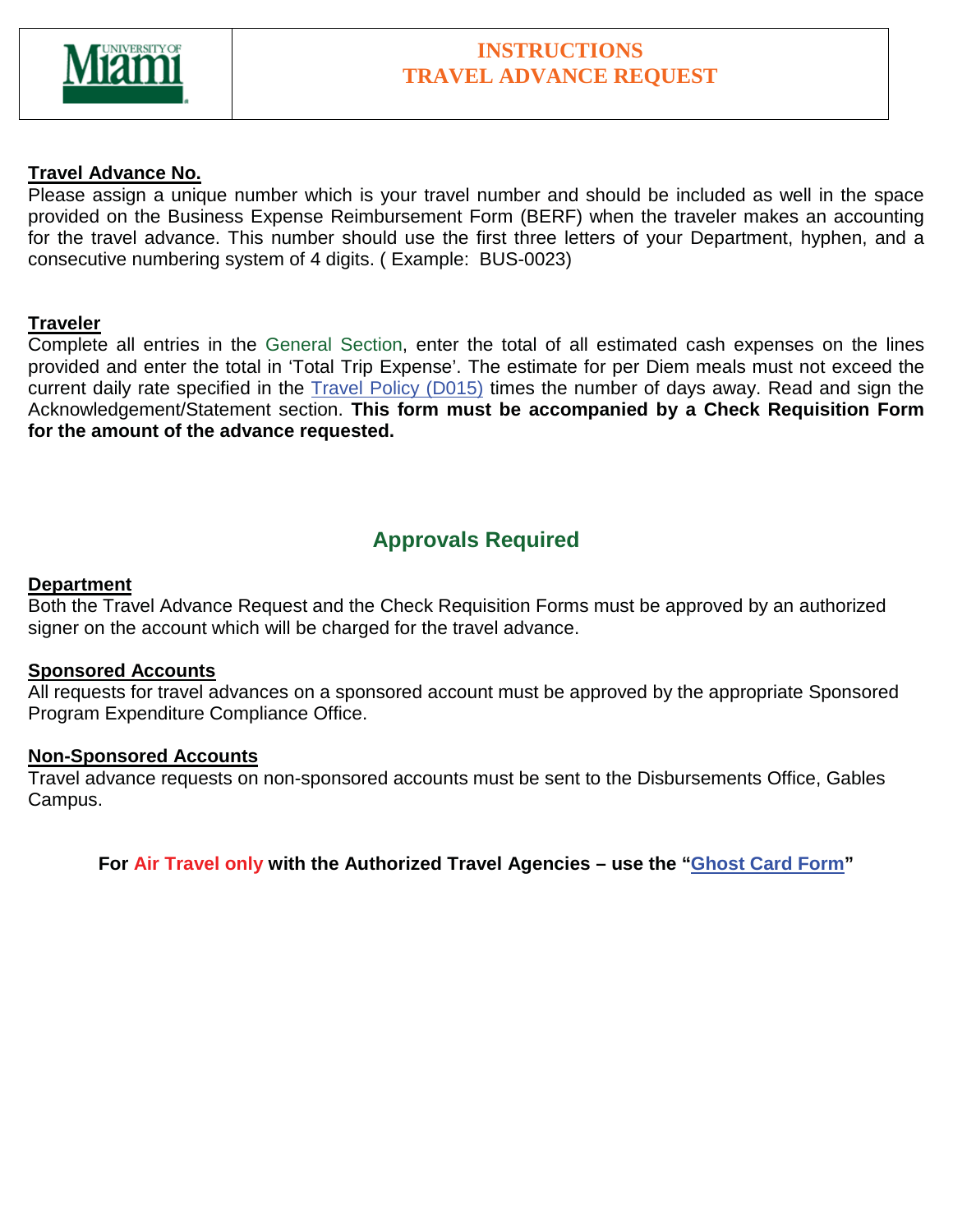

### **INSTRUCTIONS TRAVEL ADVANCE REQUEST**

#### **Travel Advance No.**

Please assign a unique number which is your travel number and should be included as well in the space provided on the Business Expense Reimbursement Form (BERF) when the traveler makes an accounting for the travel advance. This number should use the first three letters of your Department, hyphen, and a consecutive numbering system of 4 digits. ( Example: BUS-0023)

#### **Traveler**

Complete all entries in the General Section, enter the total of all estimated cash expenses on the lines provided and enter the total in 'Total Trip Expense'. The estimate for per Diem meals must not exceed the current daily rate specified in the Travel Policy (D015) times the number of days away. Read and sign the Acknowledgement/Statement section. **This form must be accompanied by a Check Requisition Form for the amount of the advance requested.**

## **Approvals Required**

#### **Department**

Both the Travel Advance Request and the Check Requisition Forms must be approved by an authorized signer on the account which will be charged for the travel advance.

#### **Sponsored Accounts**

All requests for travel advances on a sponsored account must be approved by the appropriate Sponsored Program Expenditure Compliance Office.

#### **Non-Sponsored Accounts**

Travel advance requests on non-sponsored accounts must be sent to the Disbursements Office, Gables Campus.

**For Air Travel only with the Authorized Travel Agencies – use the "Ghost Card Form"**